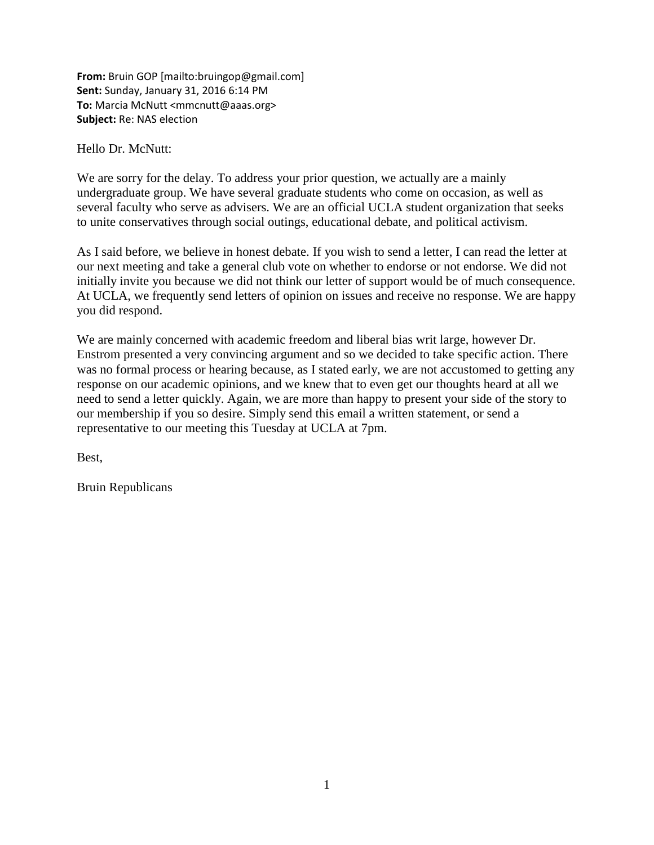**From:** Bruin GOP [mailto:bruingop@gmail.com] **Sent:** Sunday, January 31, 2016 6:14 PM **To:** Marcia McNutt <mmcnutt@aaas.org> **Subject:** Re: NAS election

Hello Dr. McNutt:

We are sorry for the delay. To address your prior question, we actually are a mainly undergraduate group. We have several graduate students who come on occasion, as well as several faculty who serve as advisers. We are an official UCLA student organization that seeks to unite conservatives through social outings, educational debate, and political activism.

As I said before, we believe in honest debate. If you wish to send a letter, I can read the letter at our next meeting and take a general club vote on whether to endorse or not endorse. We did not initially invite you because we did not think our letter of support would be of much consequence. At UCLA, we frequently send letters of opinion on issues and receive no response. We are happy you did respond.

We are mainly concerned with academic freedom and liberal bias writ large, however Dr. Enstrom presented a very convincing argument and so we decided to take specific action. There was no formal process or hearing because, as I stated early, we are not accustomed to getting any response on our academic opinions, and we knew that to even get our thoughts heard at all we need to send a letter quickly. Again, we are more than happy to present your side of the story to our membership if you so desire. Simply send this email a written statement, or send a representative to our meeting this Tuesday at UCLA at 7pm.

Best,

Bruin Republicans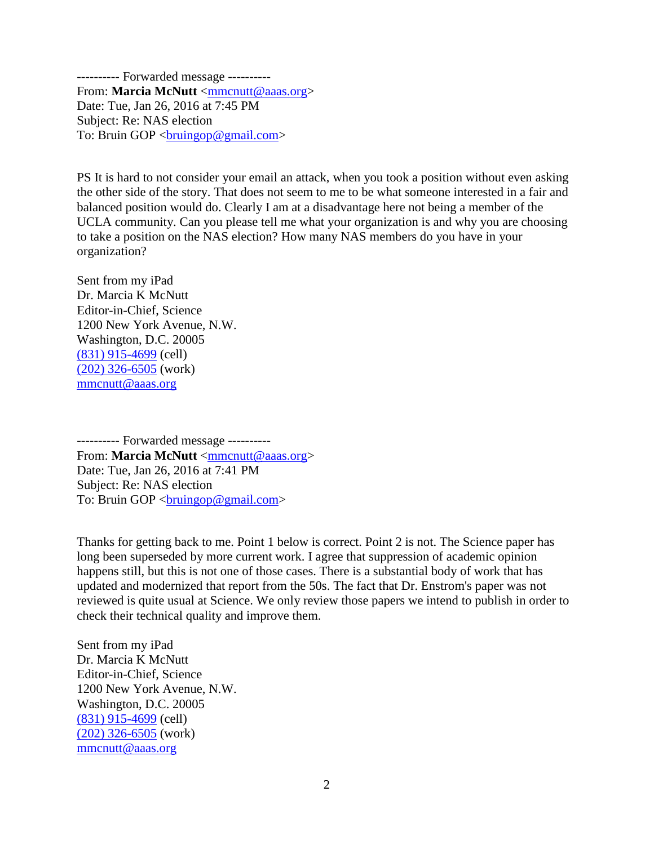---------- Forwarded message ---------- From: **Marcia McNutt** [<mmcnutt@aaas.org>](mailto:mmcnutt@aaas.org) Date: Tue, Jan 26, 2016 at 7:45 PM Subject: Re: NAS election To: Bruin GOP <br/> <br/> <br/> <br/> <br/>mail.com>

PS It is hard to not consider your email an attack, when you took a position without even asking the other side of the story. That does not seem to me to be what someone interested in a fair and balanced position would do. Clearly I am at a disadvantage here not being a member of the UCLA community. Can you please tell me what your organization is and why you are choosing to take a position on the NAS election? How many NAS members do you have in your organization?

Sent from my iPad Dr. Marcia K McNutt Editor-in-Chief, Science 1200 New York Avenue, N.W. Washington, D.C. 20005 [\(831\) 915-4699](tel:%28831%29%20915-4699) (cell) [\(202\) 326-6505](tel:%28202%29%20326-6505) (work) [mmcnutt@aaas.org](mailto:mmcnutt@aaas.org)

---------- Forwarded message ---------- From: **Marcia McNutt** [<mmcnutt@aaas.org>](mailto:mmcnutt@aaas.org) Date: Tue, Jan 26, 2016 at 7:41 PM Subject: Re: NAS election To: Bruin GOP <br/> <br/> <br/> <br/> <br/>mail.com>

Thanks for getting back to me. Point 1 below is correct. Point 2 is not. The Science paper has long been superseded by more current work. I agree that suppression of academic opinion happens still, but this is not one of those cases. There is a substantial body of work that has updated and modernized that report from the 50s. The fact that Dr. Enstrom's paper was not reviewed is quite usual at Science. We only review those papers we intend to publish in order to check their technical quality and improve them.

Sent from my iPad Dr. Marcia K McNutt Editor-in-Chief, Science 1200 New York Avenue, N.W. Washington, D.C. 20005 [\(831\) 915-4699](tel:%28831%29%20915-4699) (cell)  $(202)$  326-6505 (work) [mmcnutt@aaas.org](mailto:mmcnutt@aaas.org)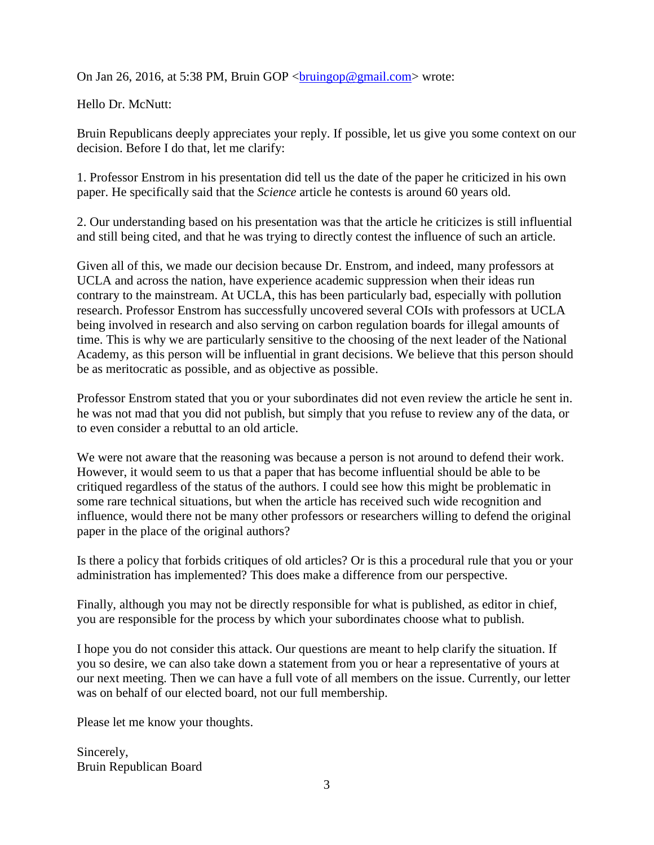On Jan 26, 2016, at 5:38 PM, Bruin GOP  $\langle$ bruingop@gmail.com> wrote:

Hello Dr. McNutt:

Bruin Republicans deeply appreciates your reply. If possible, let us give you some context on our decision. Before I do that, let me clarify:

1. Professor Enstrom in his presentation did tell us the date of the paper he criticized in his own paper. He specifically said that the *Science* article he contests is around 60 years old.

2. Our understanding based on his presentation was that the article he criticizes is still influential and still being cited, and that he was trying to directly contest the influence of such an article.

Given all of this, we made our decision because Dr. Enstrom, and indeed, many professors at UCLA and across the nation, have experience academic suppression when their ideas run contrary to the mainstream. At UCLA, this has been particularly bad, especially with pollution research. Professor Enstrom has successfully uncovered several COIs with professors at UCLA being involved in research and also serving on carbon regulation boards for illegal amounts of time. This is why we are particularly sensitive to the choosing of the next leader of the National Academy, as this person will be influential in grant decisions. We believe that this person should be as meritocratic as possible, and as objective as possible.

Professor Enstrom stated that you or your subordinates did not even review the article he sent in. he was not mad that you did not publish, but simply that you refuse to review any of the data, or to even consider a rebuttal to an old article.

We were not aware that the reasoning was because a person is not around to defend their work. However, it would seem to us that a paper that has become influential should be able to be critiqued regardless of the status of the authors. I could see how this might be problematic in some rare technical situations, but when the article has received such wide recognition and influence, would there not be many other professors or researchers willing to defend the original paper in the place of the original authors?

Is there a policy that forbids critiques of old articles? Or is this a procedural rule that you or your administration has implemented? This does make a difference from our perspective.

Finally, although you may not be directly responsible for what is published, as editor in chief, you are responsible for the process by which your subordinates choose what to publish.

I hope you do not consider this attack. Our questions are meant to help clarify the situation. If you so desire, we can also take down a statement from you or hear a representative of yours at our next meeting. Then we can have a full vote of all members on the issue. Currently, our letter was on behalf of our elected board, not our full membership.

Please let me know your thoughts.

Sincerely, Bruin Republican Board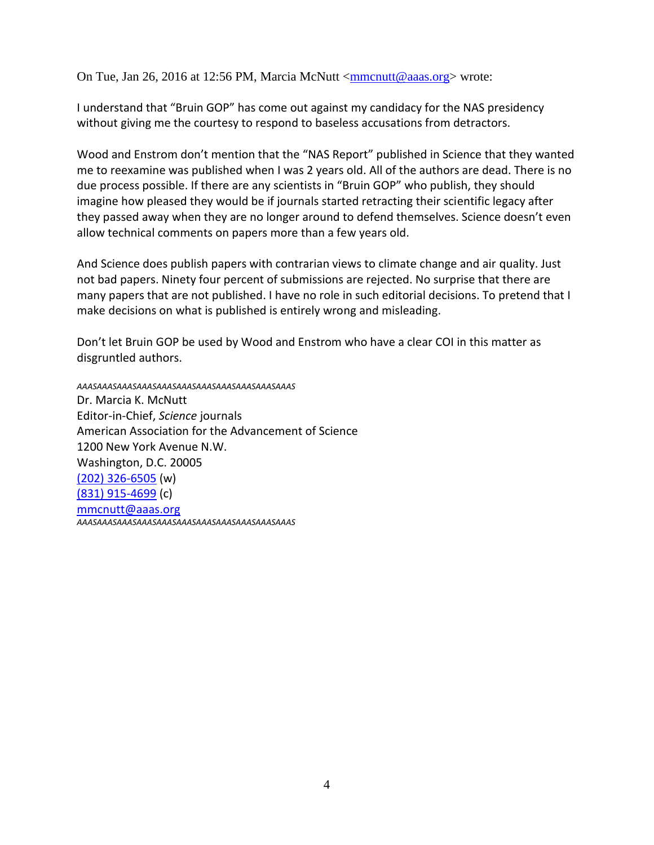On Tue, Jan 26, 2016 at 12:56 PM, Marcia McNutt [<mmcnutt@aaas.org>](mailto:mmcnutt@aaas.org) wrote:

I understand that "Bruin GOP" has come out against my candidacy for the NAS presidency without giving me the courtesy to respond to baseless accusations from detractors.

Wood and Enstrom don't mention that the "NAS Report" published in Science that they wanted me to reexamine was published when I was 2 years old. All of the authors are dead. There is no due process possible. If there are any scientists in "Bruin GOP" who publish, they should imagine how pleased they would be if journals started retracting their scientific legacy after they passed away when they are no longer around to defend themselves. Science doesn't even allow technical comments on papers more than a few years old.

And Science does publish papers with contrarian views to climate change and air quality. Just not bad papers. Ninety four percent of submissions are rejected. No surprise that there are many papers that are not published. I have no role in such editorial decisions. To pretend that I make decisions on what is published is entirely wrong and misleading.

Don't let Bruin GOP be used by Wood and Enstrom who have a clear COI in this matter as disgruntled authors.

*AAASAAASAAASAAASAAASAAASAAASAAASAAASAAASAAAS* Dr. Marcia K. McNutt Editor-in-Chief, *Science* journals American Association for the Advancement of Science 1200 New York Avenue N.W. Washington, D.C. 20005 [\(202\) 326-6505](tel:%28202%29%20326-6505) (w) [\(831\) 915-4699](tel:%28831%29%20915-4699) (c) [mmcnutt@aaas.org](mailto:mmcnutt@aaas.org) *AAASAAASAAASAAASAAASAAASAAASAAASAAASAAASAAAS*